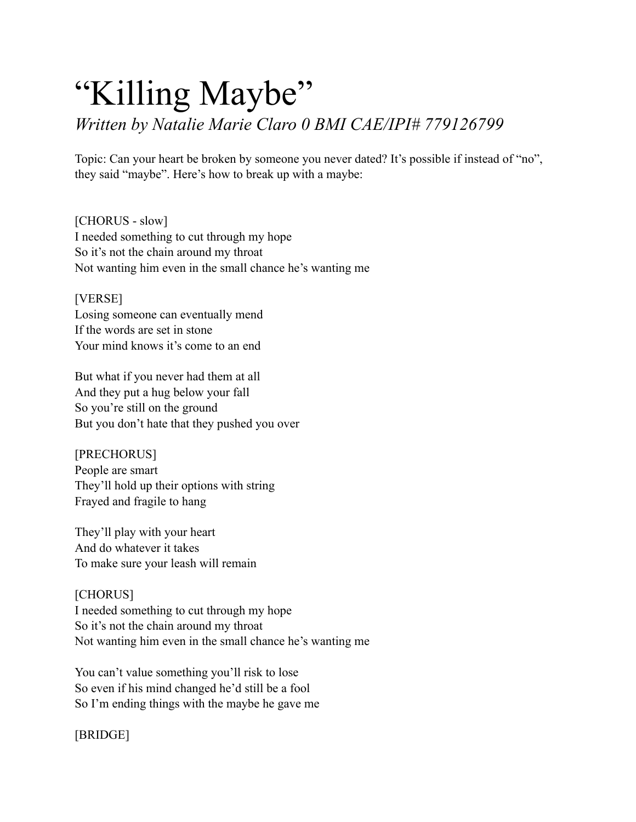## "Killing Maybe"

*Written by Natalie Marie Claro 0 BMI CAE/IPI# 779126799* 

Topic: Can your heart be broken by someone you never dated? It's possible if instead of "no", they said "maybe". Here's how to break up with a maybe:

[CHORUS - slow] I needed something to cut through my hope So it's not the chain around my throat Not wanting him even in the small chance he's wanting me

[VERSE] Losing someone can eventually mend If the words are set in stone Your mind knows it's come to an end

But what if you never had them at all And they put a hug below your fall So you're still on the ground But you don't hate that they pushed you over

[PRECHORUS] People are smart They'll hold up their options with string Frayed and fragile to hang

They'll play with your heart And do whatever it takes To make sure your leash will remain

## [CHORUS]

I needed something to cut through my hope So it's not the chain around my throat Not wanting him even in the small chance he's wanting me

You can't value something you'll risk to lose So even if his mind changed he'd still be a fool So I'm ending things with the maybe he gave me

[BRIDGE]